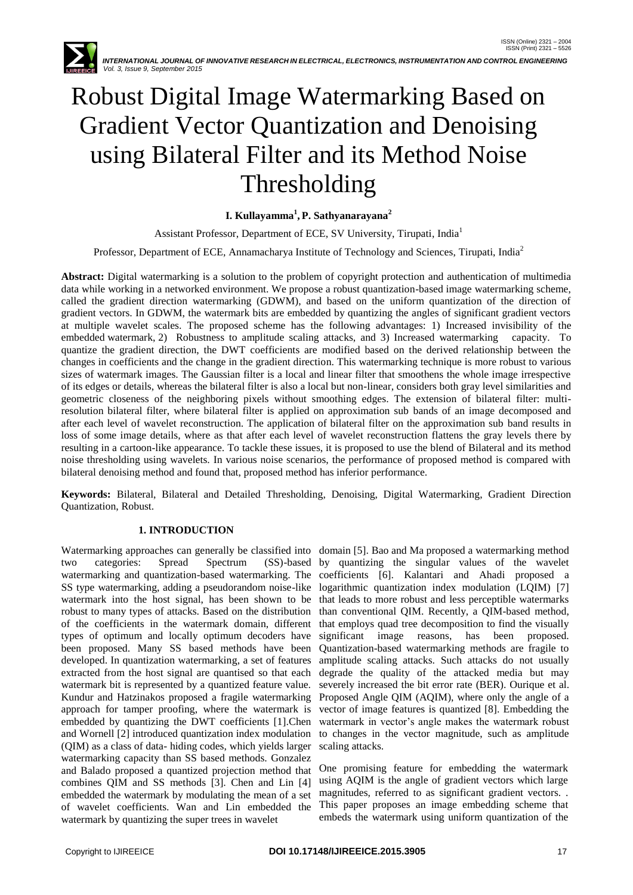

# Robust Digital Image Watermarking Based on Gradient Vector Quantization and Denoising using Bilateral Filter and its Method Noise Thresholding

## **I. Kullayamma<sup>1</sup> , P. Sathyanarayana<sup>2</sup>**

Assistant Professor, Department of ECE, SV University, Tirupati, India<sup>1</sup>

Professor, Department of ECE, Annamacharya Institute of Technology and Sciences, Tirupati, India<sup>2</sup>

**Abstract:** Digital watermarking is a solution to the problem of copyright protection and authentication of multimedia data while working in a networked environment. We propose a robust quantization-based image watermarking scheme, called the gradient direction watermarking (GDWM), and based on the uniform quantization of the direction of gradient vectors. In GDWM, the watermark bits are embedded by quantizing the angles of significant gradient vectors at multiple wavelet scales. The proposed scheme has the following advantages: 1) Increased invisibility of the embedded watermark, 2) Robustness to amplitude scaling attacks, and 3) Increased watermarking capacity. To quantize the gradient direction, the DWT coefficients are modified based on the derived relationship between the changes in coefficients and the change in the gradient direction. This watermarking technique is more robust to various sizes of watermark images. The Gaussian filter is a local and linear filter that smoothens the whole image irrespective of its edges or details, whereas the bilateral filter is also a local but non-linear, considers both gray level similarities and geometric closeness of the neighboring pixels without smoothing edges. The extension of bilateral filter: multiresolution bilateral filter, where bilateral filter is applied on approximation sub bands of an image decomposed and after each level of wavelet reconstruction. The application of bilateral filter on the approximation sub band results in loss of some image details, where as that after each level of wavelet reconstruction flattens the gray levels there by resulting in a cartoon-like appearance. To tackle these issues, it is proposed to use the blend of Bilateral and its method noise thresholding using wavelets. In various noise scenarios, the performance of proposed method is compared with bilateral denoising method and found that, proposed method has inferior performance.

**Keywords:** Bilateral, Bilateral and Detailed Thresholding, Denoising, Digital Watermarking, Gradient Direction Quantization, Robust.

## **1. INTRODUCTION**

Watermarking approaches can generally be classified into domain [5]. Bao and Ma proposed a watermarking method two categories: Spread Spectrum (SS)-based by quantizing the singular values of the wavelet watermarking and quantization-based watermarking. The coefficients [6]. Kalantari and Ahadi proposed a SS type watermarking, adding a pseudorandom noise-like logarithmic quantization index modulation (LQIM) [7] watermark into the host signal, has been shown to be that leads to more robust and less perceptible watermarks robust to many types of attacks. Based on the distribution than conventional QIM. Recently, a QIM-based method, of the coefficients in the watermark domain, different types of optimum and locally optimum decoders have been proposed. Many SS based methods have been developed. In quantization watermarking, a set of features extracted from the host signal are quantised so that each watermark bit is represented by a quantized feature value. Kundur and Hatzinakos proposed a fragile watermarking approach for tamper proofing, where the watermark is embedded by quantizing the DWT coefficients [1].Chen and Wornell [2] introduced quantization index modulation (QIM) as a class of data- hiding codes, which yields larger watermarking capacity than SS based methods. Gonzalez and Balado proposed a quantized projection method that combines QIM and SS methods [3]. Chen and Lin [4] embedded the watermark by modulating the mean of a set of wavelet coefficients. Wan and Lin embedded the watermark by quantizing the super trees in wavelet

that employs quad tree decomposition to find the visually significant image reasons, has been proposed. Quantization-based watermarking methods are fragile to amplitude scaling attacks. Such attacks do not usually degrade the quality of the attacked media but may severely increased the bit error rate (BER). Ourique et al. Proposed Angle QIM (AQIM), where only the angle of a vector of image features is quantized [8]. Embedding the watermark in vector's angle makes the watermark robust to changes in the vector magnitude, such as amplitude scaling attacks.

One promising feature for embedding the watermark using AQIM is the angle of gradient vectors which large magnitudes, referred to as significant gradient vectors. . This paper proposes an image embedding scheme that embeds the watermark using uniform quantization of the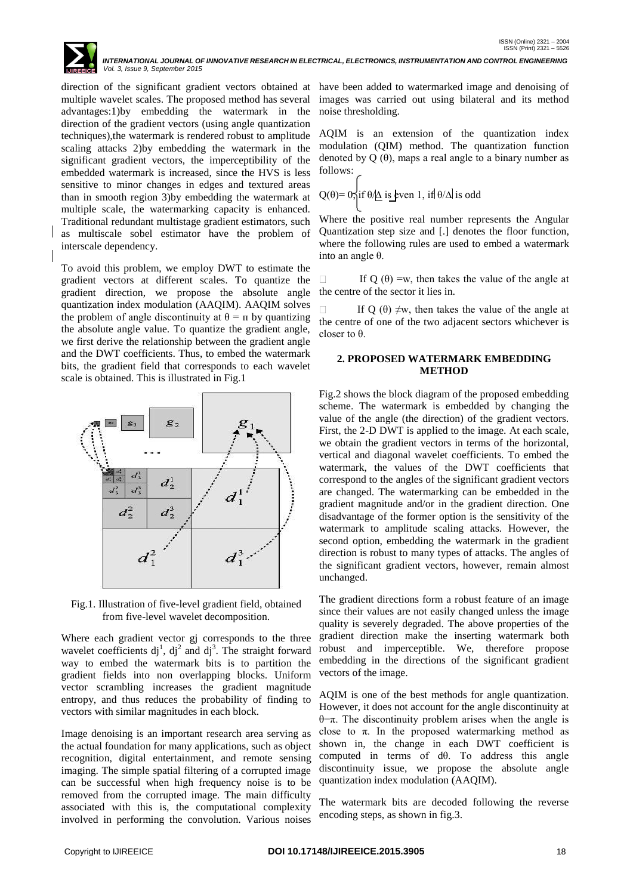

direction of the significant gradient vectors obtained at have been added to watermarked image and denoising of multiple wavelet scales. The proposed method has several advantages:1)by embedding the watermark in the direction of the gradient vectors (using angle quantization techniques),the watermark is rendered robust to amplitude scaling attacks 2)by embedding the watermark in the significant gradient vectors, the imperceptibility of the embedded watermark is increased, since the HVS is less sensitive to minor changes in edges and textured areas than in smooth region 3)by embedding the watermark at multiple scale, the watermarking capacity is enhanced. Traditional redundant multistage gradient estimators, such as multiscale sobel estimator have the problem of interscale dependency.

To avoid this problem, we employ DWT to estimate the gradient vectors at different scales. To quantize the gradient direction, we propose the absolute angle quantization index modulation (AAQIM). AAQIM solves the problem of angle discontinuity at  $\theta = \pi$  by quantizing the absolute angle value. To quantize the gradient angle, we first derive the relationship between the gradient angle and the DWT coefficients. Thus, to embed the watermark bits, the gradient field that corresponds to each wavelet scale is obtained. This is illustrated in Fig.1



Fig.1. Illustration of five-level gradient field, obtained from five-level wavelet decomposition.

Where each gradient vector gj corresponds to the three wavelet coefficients  $dj^1$ ,  $dj^2$  and  $dj^3$ . The straight forward way to embed the watermark bits is to partition the gradient fields into non overlapping blocks. Uniform vector scrambling increases the gradient magnitude entropy, and thus reduces the probability of finding to vectors with similar magnitudes in each block.

Image denoising is an important research area serving as the actual foundation for many applications, such as object recognition, digital entertainment, and remote sensing imaging. The simple spatial filtering of a corrupted image can be successful when high frequency noise is to be removed from the corrupted image. The main difficulty associated with this is, the computational complexity involved in performing the convolution. Various noises

images was carried out using bilateral and its method noise thresholding.

AQIM is an extension of the quantization index modulation (QIM) method. The quantization function denoted by  $Q(\theta)$ , maps a real angle to a binary number as follows:

$$
Q(\theta) = 0
$$
; if  $\theta/\underline{\Delta}$  is even 1, if  $\theta/\Delta$  is odd

Where the positive real number represents the Angular Quantization step size and [.] denotes the floor function, where the following rules are used to embed a watermark into an angle θ.

If Q  $(\theta)$  =w, then takes the value of the angle at the centre of the sector it lies in.

If Q  $(\theta) \neq w$ , then takes the value of the angle at the centre of one of the two adjacent sectors whichever is closer to  $\theta$ .

## **2. PROPOSED WATERMARK EMBEDDING METHOD**

Fig.2 shows the block diagram of the proposed embedding scheme. The watermark is embedded by changing the value of the angle (the direction) of the gradient vectors. First, the 2-D DWT is applied to the image. At each scale, we obtain the gradient vectors in terms of the horizontal, vertical and diagonal wavelet coefficients. To embed the watermark, the values of the DWT coefficients that correspond to the angles of the significant gradient vectors are changed. The watermarking can be embedded in the gradient magnitude and/or in the gradient direction. One disadvantage of the former option is the sensitivity of the watermark to amplitude scaling attacks. However, the second option, embedding the watermark in the gradient direction is robust to many types of attacks. The angles of the significant gradient vectors, however, remain almost unchanged.

The gradient directions form a robust feature of an image since their values are not easily changed unless the image quality is severely degraded. The above properties of the gradient direction make the inserting watermark both robust and imperceptible. We, therefore propose embedding in the directions of the significant gradient vectors of the image.

AQIM is one of the best methods for angle quantization. However, it does not account for the angle discontinuity at θ=π. The discontinuity problem arises when the angle is close to  $\pi$ . In the proposed watermarking method as shown in, the change in each DWT coefficient is computed in terms of dθ. To address this angle discontinuity issue, we propose the absolute angle quantization index modulation (AAQIM).

The watermark bits are decoded following the reverse encoding steps, as shown in fig.3.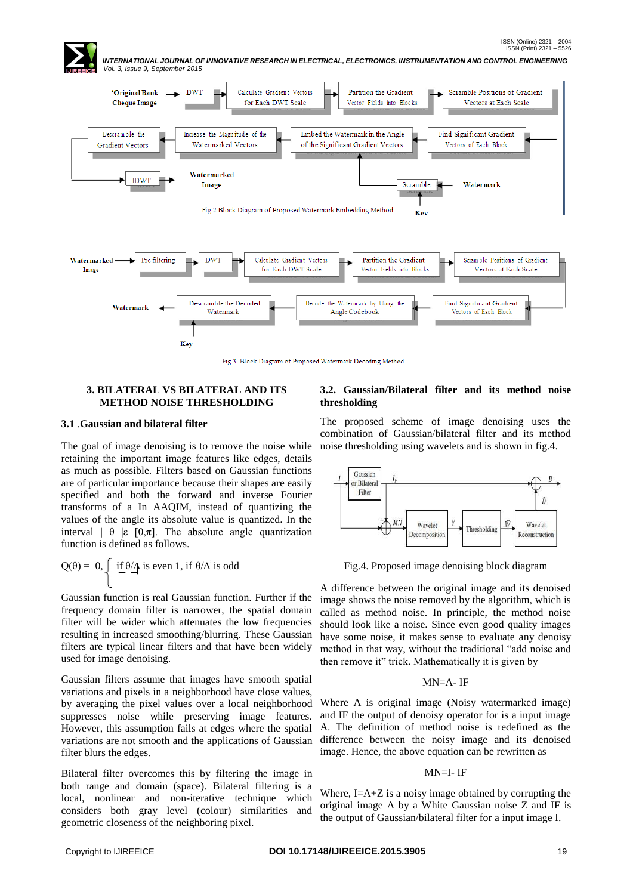

Fig.3. Block Diagram of Proposed Watermark Decoding Method

## **3. BILATERAL VS BILATERAL AND ITS METHOD NOISE THRESHOLDING**

#### **3.1** .**Gaussian and bilateral filter**

The goal of image denoising is to remove the noise while retaining the important image features like edges, details as much as possible. Filters based on Gaussian functions are of particular importance because their shapes are easily specified and both the forward and inverse Fourier transforms of a In AAQIM, instead of quantizing the values of the angle its absolute value is quantized. In the interval  $\theta$  |ε [0, $\pi$ ]. The absolute angle quantization function is defined as follows.

$$
Q(\theta) = 0, \begin{cases} \frac{1}{2} \theta \Delta \text{ is even 1, if } \theta \Delta \text{ is odd} \\ \end{cases}
$$

Gaussian function is real Gaussian function. Further if the frequency domain filter is narrower, the spatial domain filter will be wider which attenuates the low frequencies resulting in increased smoothing/blurring. These Gaussian filters are typical linear filters and that have been widely used for image denoising.

Gaussian filters assume that images have smooth spatial variations and pixels in a neighborhood have close values, by averaging the pixel values over a local neighborhood suppresses noise while preserving image features. However, this assumption fails at edges where the spatial variations are not smooth and the applications of Gaussian filter blurs the edges.

Bilateral filter overcomes this by filtering the image in both range and domain (space). Bilateral filtering is a local, nonlinear and non-iterative technique which considers both gray level (colour) similarities and geometric closeness of the neighboring pixel.

## **3.2. Gaussian/Bilateral filter and its method noise thresholding**

The proposed scheme of image denoising uses the combination of Gaussian/bilateral filter and its method noise thresholding using wavelets and is shown in fig.4.



Fig.4. Proposed image denoising block diagram

A difference between the original image and its denoised image shows the noise removed by the algorithm, which is called as method noise. In principle, the method noise should look like a noise. Since even good quality images have some noise, it makes sense to evaluate any denoisy method in that way, without the traditional "add noise and then remove it" trick. Mathematically it is given by

#### MN=A- IF

Where A is original image (Noisy watermarked image) and IF the output of denoisy operator for is a input image A. The definition of method noise is redefined as the difference between the noisy image and its denoised image. Hence, the above equation can be rewritten as

#### MN=I- IF

Where,  $I=A+Z$  is a noisy image obtained by corrupting the original image A by a White Gaussian noise Z and IF is the output of Gaussian/bilateral filter for a input image I.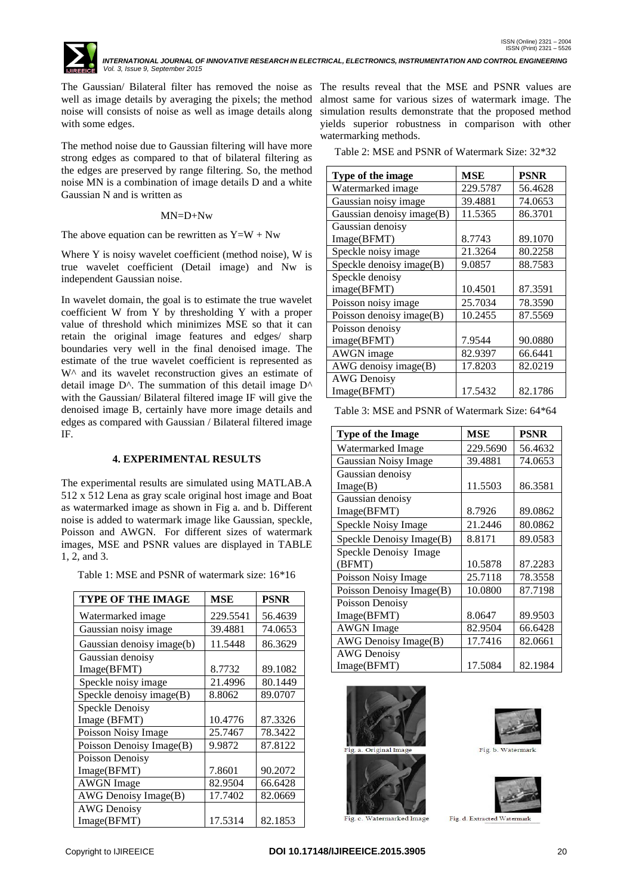

The Gaussian/ Bilateral filter has removed the noise as The results reveal that the MSE and PSNR values are well as image details by averaging the pixels; the method almost same for various sizes of watermark image. The noise will consists of noise as well as image details along with some edges.

The method noise due to Gaussian filtering will have more strong edges as compared to that of bilateral filtering as the edges are preserved by range filtering. So, the method noise MN is a combination of image details D and a white Gaussian N and is written as

## MN=D+Nw

The above equation can be rewritten as  $Y=W + Nw$ 

Where Y is noisy wavelet coefficient (method noise), W is true wavelet coefficient (Detail image) and Nw is independent Gaussian noise.

In wavelet domain, the goal is to estimate the true wavelet coefficient W from Y by thresholding Y with a proper value of threshold which minimizes MSE so that it can retain the original image features and edges/ sharp boundaries very well in the final denoised image. The estimate of the true wavelet coefficient is represented as W<sup> $\land$ </sup> and its wavelet reconstruction gives an estimate of detail image  $D^{\wedge}$ . The summation of this detail image  $D^{\wedge}$ with the Gaussian/ Bilateral filtered image IF will give the denoised image B, certainly have more image details and edges as compared with Gaussian / Bilateral filtered image IF.

## **4. EXPERIMENTAL RESULTS**

The experimental results are simulated using MATLAB.A 512 x 512 Lena as gray scale original host image and Boat as watermarked image as shown in Fig a. and b. Different noise is added to watermark image like Gaussian, speckle, Poisson and AWGN. For different sizes of watermark images, MSE and PSNR values are displayed in TABLE 1, 2, and 3.

Table 1: MSE and PSNR of watermark size: 16\*16

| <b>TYPE OF THE IMAGE</b>  | <b>MSE</b> | <b>PSNR</b> |
|---------------------------|------------|-------------|
| Watermarked image         | 229.5541   | 56.4639     |
| Gaussian noisy image      | 39.4881    | 74.0653     |
| Gaussian denoisy image(b) | 11.5448    | 86.3629     |
| Gaussian denoisy          |            |             |
| Image(BFMT)               | 8.7732     | 89.1082     |
| Speckle noisy image       | 21.4996    | 80.1449     |
| Speckle denoisy image(B)  | 8.8062     | 89.0707     |
| Speckle Denoisy           |            |             |
| Image (BFMT)              | 10.4776    | 87.3326     |
| Poisson Noisy Image       | 25.7467    | 78.3422     |
| Poisson Denoisy Image(B)  | 9.9872     | 87.8122     |
| Poisson Denoisy           |            |             |
| Image(BFMT)               | 7.8601     | 90.2072     |
| <b>AWGN</b> Image         | 82.9504    | 66.6428     |
| AWG Denoisy Image(B)      | 17.7402    | 82.0669     |
| <b>AWG Denoisy</b>        |            |             |
| Image(BFMT)               | 17.5314    | 82.1853     |

simulation results demonstrate that the proposed method yields superior robustness in comparison with other watermarking methods.

Table 2: MSE and PSNR of Watermark Size: 32\*32

| Type of the image           | MSE      | <b>PSNR</b> |
|-----------------------------|----------|-------------|
| Watermarked image           | 229.5787 | 56.4628     |
| Gaussian noisy image        | 39.4881  | 74.0653     |
| Gaussian denoisy image(B)   | 11.5365  | 86.3701     |
| Gaussian denoisy            |          |             |
| Image(BFMT)                 | 8.7743   | 89.1070     |
| Speckle noisy image         | 21.3264  | 80.2258     |
| Speckle denoisy image(B)    | 9.0857   | 88.7583     |
| Speckle denoisy             |          |             |
| image(BFMT)                 | 10.4501  | 87.3591     |
| Poisson noisy image         | 25.7034  | 78.3590     |
| Poisson denoisy image $(B)$ | 10.2455  | 87.5569     |
| Poisson denoisy             |          |             |
| image(BFMT)                 | 7.9544   | 90.0880     |
| AWGN image                  | 82.9397  | 66.6441     |
| $AWG$ denoisy image $(B)$   | 17.8203  | 82.0219     |
| <b>AWG</b> Denoisy          |          |             |
| Image(BFMT)                 | 17.5432  | 82.1786     |

Table 3: MSE and PSNR of Watermark Size: 64\*64

| <b>Type of the Image</b> | MSE      | <b>PSNR</b> |
|--------------------------|----------|-------------|
| Watermarked Image        | 229.5690 | 56.4632     |
|                          |          |             |
| Gaussian Noisy Image     | 39.4881  | 74.0653     |
| Gaussian denoisy         |          |             |
| Image(B)                 | 11.5503  | 86.3581     |
| Gaussian denoisy         |          |             |
| Image(BFMT)              | 8.7926   | 89.0862     |
| Speckle Noisy Image      | 21.2446  | 80.0862     |
| Speckle Denoisy Image(B) | 8.8171   | 89.0583     |
| Speckle Denoisy Image    |          |             |
| (BFMT)                   | 10.5878  | 87.2283     |
| Poisson Noisy Image      | 25.7118  | 78.3558     |
| Poisson Denoisy Image(B) | 10.0800  | 87.7198     |
| Poisson Denoisy          |          |             |
| Image(BFMT)              | 8.0647   | 89.9503     |
| <b>AWGN</b> Image        | 82.9504  | 66.6428     |
| AWG Denoisy Image(B)     | 17.7416  | 82.0661     |
| <b>AWG</b> Denoisy       |          |             |
| Image(BFMT)              | 17.5084  | 82.1984     |







Watermarked Image

Fig. d. Extracted Watermark